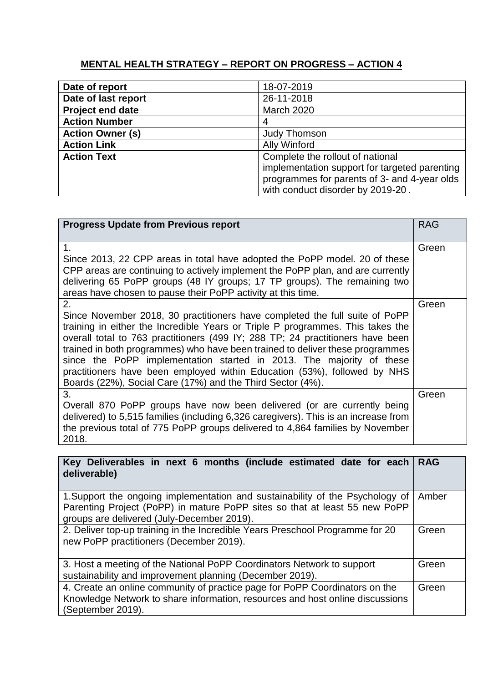## **MENTAL HEALTH STRATEGY – REPORT ON PROGRESS – ACTION 4**

| Date of report          | 18-07-2019                                    |
|-------------------------|-----------------------------------------------|
| Date of last report     | 26-11-2018                                    |
| <b>Project end date</b> | <b>March 2020</b>                             |
| <b>Action Number</b>    |                                               |
| <b>Action Owner (s)</b> | <b>Judy Thomson</b>                           |
| <b>Action Link</b>      | <b>Ally Winford</b>                           |
| <b>Action Text</b>      | Complete the rollout of national              |
|                         | implementation support for targeted parenting |
|                         | programmes for parents of 3- and 4-year olds  |
|                         | with conduct disorder by 2019-20.             |

| <b>Progress Update from Previous report</b>                                                                                                                                                                                                                                                                                                                                                                                                                                                                                                              | <b>RAG</b> |
|----------------------------------------------------------------------------------------------------------------------------------------------------------------------------------------------------------------------------------------------------------------------------------------------------------------------------------------------------------------------------------------------------------------------------------------------------------------------------------------------------------------------------------------------------------|------------|
| 1.<br>Since 2013, 22 CPP areas in total have adopted the PoPP model. 20 of these<br>CPP areas are continuing to actively implement the PoPP plan, and are currently<br>delivering 65 PoPP groups (48 IY groups; 17 TP groups). The remaining two<br>areas have chosen to pause their PoPP activity at this time.                                                                                                                                                                                                                                         | Green      |
| 2.<br>Since November 2018, 30 practitioners have completed the full suite of PoPP<br>training in either the Incredible Years or Triple P programmes. This takes the<br>overall total to 763 practitioners (499 IY; 288 TP; 24 practitioners have been<br>trained in both programmes) who have been trained to deliver these programmes<br>since the PoPP implementation started in 2013. The majority of these<br>practitioners have been employed within Education (53%), followed by NHS<br>Boards (22%), Social Care (17%) and the Third Sector (4%). | Green      |
| 3.<br>Overall 870 PoPP groups have now been delivered (or are currently being<br>delivered) to 5,515 families (including 6,326 caregivers). This is an increase from<br>the previous total of 775 PoPP groups delivered to 4,864 families by November<br>2018.                                                                                                                                                                                                                                                                                           | Green      |

| Key Deliverables in next 6 months (include estimated date for each)<br>deliverable)                                                                                                                                | <b>RAG</b> |  |
|--------------------------------------------------------------------------------------------------------------------------------------------------------------------------------------------------------------------|------------|--|
| 1. Support the ongoing implementation and sustainability of the Psychology of<br>Amber<br>Parenting Project (PoPP) in mature PoPP sites so that at least 55 new PoPP<br>groups are delivered (July-December 2019). |            |  |
| 2. Deliver top-up training in the Incredible Years Preschool Programme for 20<br>new PoPP practitioners (December 2019).                                                                                           |            |  |
| 3. Host a meeting of the National PoPP Coordinators Network to support<br>sustainability and improvement planning (December 2019).                                                                                 |            |  |
| 4. Create an online community of practice page for PoPP Coordinators on the<br>Green<br>Knowledge Network to share information, resources and host online discussions<br>(September 2019).                         |            |  |